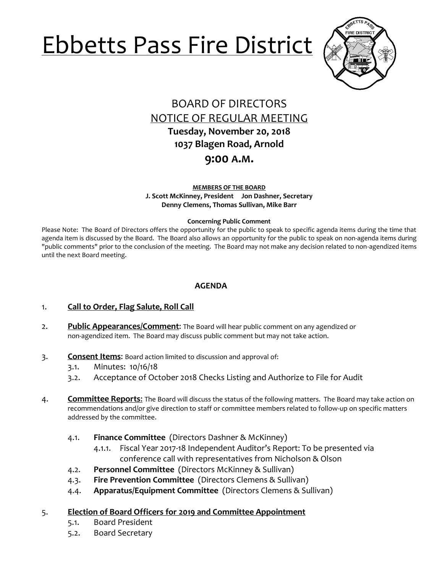# Ebbetts Pass Fire District



## BOARD OF DIRECTORS NOTICE OF REGULAR MEETING **Tuesday, November 20, 2018 1037 Blagen Road, Arnold**

## **9:00 A.M.**

**MEMBERS OF THE BOARD J. Scott McKinney, President Jon Dashner, Secretary Denny Clemens, Thomas Sullivan, Mike Barr**

#### **Concerning Public Comment**

Please Note:The Board of Directors offers the opportunity for the public to speak to specific agenda items during the time that agenda item is discussed by the Board. The Board also allows an opportunity for the public to speak on non-agenda items during "public comments" prior to the conclusion of the meeting. The Board may not make any decision related to non-agendized items until the next Board meeting.

### **AGENDA**

- 1. **Call to Order, Flag Salute, Roll Call**
- 2. **Public Appearances/Comment**: The Board will hear public comment on any agendized or non-agendized item. The Board may discuss public comment but may not take action.
- 3. **Consent Items**: Board action limited to discussion and approval of:
	- 3.1. Minutes: 10/16/18
	- 3.2. Acceptance of October 2018 Checks Listing and Authorize to File for Audit
- 4. **Committee Reports**: The Board will discuss the status of the following matters. The Board may take action on recommendations and/or give direction to staff or committee members related to follow-up on specific matters addressed by the committee.
	- 4.1. **Finance Committee** (Directors Dashner & McKinney)
		- 4.1.1. Fiscal Year 2017-18 Independent Auditor's Report: To be presented via conference call with representatives from Nicholson & Olson
	- 4.2. **Personnel Committee** (Directors McKinney & Sullivan)
	- 4.3. **Fire Prevention Committee** (Directors Clemens & Sullivan)
	- 4.4. **Apparatus/Equipment Committee** (Directors Clemens & Sullivan)

#### 5. **Election of Board Officers for 2019 and Committee Appointment**

- 5.1. Board President
- 5.2. Board Secretary